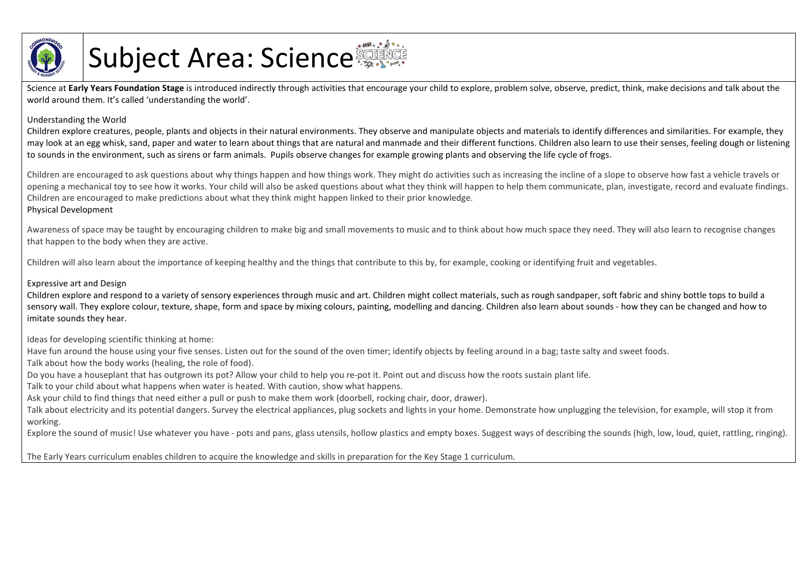

## Subject Area: Science

Science at Early Years Foundation Stage is introduced indirectly through activities that encourage your child to explore, problem solve, observe, predict, think, make decisions and talk about the world around them. It's called 'understanding the world'.

## Understanding the World

Children explore creatures, people, plants and objects in their natural environments. They observe and manipulate objects and materials to identify differences and similarities. For example, they may look at an egg whisk, sand, paper and water to learn about things that are natural and manmade and their different functions. Children also learn to use their senses, feeling dough or listening to sounds in the environment, such as sirens or farm animals. Pupils observe changes for example growing plants and observing the life cycle of frogs.

Children are encouraged to ask questions about why things happen and how things work. They might do activities such as increasing the incline of a slope to observe how fast a vehicle travels or opening a mechanical toy to see how it works. Your child will also be asked questions about what they think will happen to help them communicate, plan, investigate, record and evaluate findings. Children are encouraged to make predictions about what they think might happen linked to their prior knowledge. Physical Development

Awareness of space may be taught by encouraging children to make big and small movements to music and to think about how much space they need. They will also learn to recognise changes that happen to the body when they are active.

Children will also learn about the importance of keeping healthy and the things that contribute to this by, for example, cooking or identifying fruit and vegetables.

## Expressive art and Design

Children explore and respond to a variety of sensory experiences through music and art. Children might collect materials, such as rough sandpaper, soft fabric and shiny bottle tops to build a sensory wall. They explore colour, texture, shape, form and space by mixing colours, painting, modelling and dancing. Children also learn about sounds - how they can be changed and how to imitate sounds they hear.

Ideas for developing scientific thinking at home:

Have fun around the house using your five senses. Listen out for the sound of the oven timer; identify objects by feeling around in a bag; taste salty and sweet foods.

Talk about how the body works (healing, the role of food).

Do you have a houseplant that has outgrown its pot? Allow your child to help you re-pot it. Point out and discuss how the roots sustain plant life.

Talk to your child about what happens when water is heated. With caution, show what happens.

Ask your child to find things that need either a pull or push to make them work (doorbell, rocking chair, door, drawer).

Talk about electricity and its potential dangers. Survey the electrical appliances, plug sockets and lights in your home. Demonstrate how unplugging the television, for example, will stop it from working.

Explore the sound of music! Use whatever you have - pots and pans, glass utensils, hollow plastics and empty boxes. Suggest ways of describing the sounds (high, low, loud, quiet, rattling, ringing).

The Early Years curriculum enables children to acquire the knowledge and skills in preparation for the Key Stage 1 curriculum.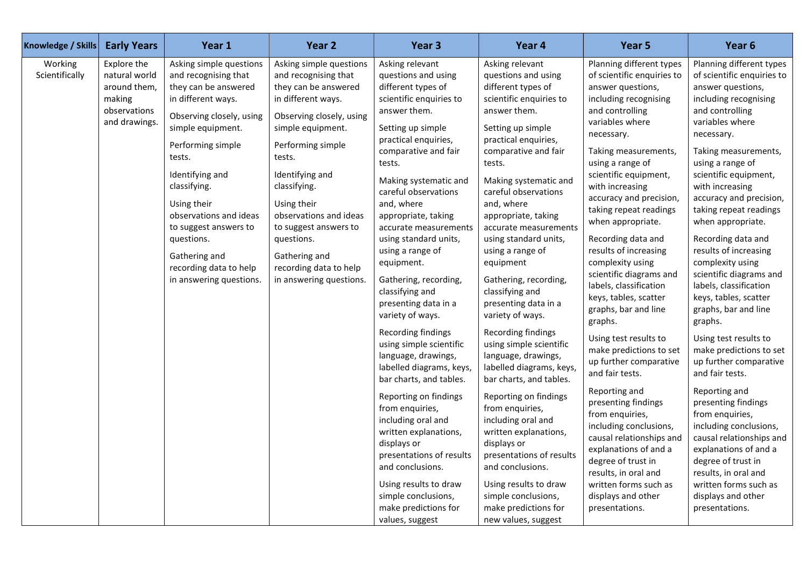| Knowledge / Skills        | <b>Early Years</b>                                                                      | Year 1                                                                                                                                                                                                                                                                                                                                                                 | Year 2                                                                                                                                                                                                                                                                                                                                                                 | Year 3                                                                                                                                                                                                                                                                                                                                                                                                                                                                                                                                                                                                                                                                                                                                                                                                                                       | Year 4                                                                                                                                                                                                                                                                                                                                                                                                                                                                                                                                                                                                                                                                                                                                                                                                                                          | Year 5                                                                                                                                                                                                                                                                                                                                                                                                                                                                                                                                                                                                                                                                                                                                                                                                                                                                   | Year 6                                                                                                                                                                                                                                                                                                                                                                                                                                                                                                                                                                                                                                                                                                                                                                                                                                                                   |
|---------------------------|-----------------------------------------------------------------------------------------|------------------------------------------------------------------------------------------------------------------------------------------------------------------------------------------------------------------------------------------------------------------------------------------------------------------------------------------------------------------------|------------------------------------------------------------------------------------------------------------------------------------------------------------------------------------------------------------------------------------------------------------------------------------------------------------------------------------------------------------------------|----------------------------------------------------------------------------------------------------------------------------------------------------------------------------------------------------------------------------------------------------------------------------------------------------------------------------------------------------------------------------------------------------------------------------------------------------------------------------------------------------------------------------------------------------------------------------------------------------------------------------------------------------------------------------------------------------------------------------------------------------------------------------------------------------------------------------------------------|-------------------------------------------------------------------------------------------------------------------------------------------------------------------------------------------------------------------------------------------------------------------------------------------------------------------------------------------------------------------------------------------------------------------------------------------------------------------------------------------------------------------------------------------------------------------------------------------------------------------------------------------------------------------------------------------------------------------------------------------------------------------------------------------------------------------------------------------------|--------------------------------------------------------------------------------------------------------------------------------------------------------------------------------------------------------------------------------------------------------------------------------------------------------------------------------------------------------------------------------------------------------------------------------------------------------------------------------------------------------------------------------------------------------------------------------------------------------------------------------------------------------------------------------------------------------------------------------------------------------------------------------------------------------------------------------------------------------------------------|--------------------------------------------------------------------------------------------------------------------------------------------------------------------------------------------------------------------------------------------------------------------------------------------------------------------------------------------------------------------------------------------------------------------------------------------------------------------------------------------------------------------------------------------------------------------------------------------------------------------------------------------------------------------------------------------------------------------------------------------------------------------------------------------------------------------------------------------------------------------------|
| Working<br>Scientifically | Explore the<br>natural world<br>around them,<br>making<br>observations<br>and drawings. | Asking simple questions<br>and recognising that<br>they can be answered<br>in different ways.<br>Observing closely, using<br>simple equipment.<br>Performing simple<br>tests.<br>Identifying and<br>classifying.<br>Using their<br>observations and ideas<br>to suggest answers to<br>questions.<br>Gathering and<br>recording data to help<br>in answering questions. | Asking simple questions<br>and recognising that<br>they can be answered<br>in different ways.<br>Observing closely, using<br>simple equipment.<br>Performing simple<br>tests.<br>Identifying and<br>classifying.<br>Using their<br>observations and ideas<br>to suggest answers to<br>questions.<br>Gathering and<br>recording data to help<br>in answering questions. | Asking relevant<br>questions and using<br>different types of<br>scientific enquiries to<br>answer them.<br>Setting up simple<br>practical enquiries,<br>comparative and fair<br>tests.<br>Making systematic and<br>careful observations<br>and, where<br>appropriate, taking<br>accurate measurements<br>using standard units,<br>using a range of<br>equipment.<br>Gathering, recording,<br>classifying and<br>presenting data in a<br>variety of ways.<br>Recording findings<br>using simple scientific<br>language, drawings,<br>labelled diagrams, keys,<br>bar charts, and tables.<br>Reporting on findings<br>from enquiries,<br>including oral and<br>written explanations,<br>displays or<br>presentations of results<br>and conclusions.<br>Using results to draw<br>simple conclusions,<br>make predictions for<br>values, suggest | Asking relevant<br>questions and using<br>different types of<br>scientific enquiries to<br>answer them.<br>Setting up simple<br>practical enquiries,<br>comparative and fair<br>tests.<br>Making systematic and<br>careful observations<br>and, where<br>appropriate, taking<br>accurate measurements<br>using standard units,<br>using a range of<br>equipment<br>Gathering, recording,<br>classifying and<br>presenting data in a<br>variety of ways.<br>Recording findings<br>using simple scientific<br>language, drawings,<br>labelled diagrams, keys,<br>bar charts, and tables.<br>Reporting on findings<br>from enquiries,<br>including oral and<br>written explanations,<br>displays or<br>presentations of results<br>and conclusions.<br>Using results to draw<br>simple conclusions,<br>make predictions for<br>new values, suggest | Planning different types<br>of scientific enquiries to<br>answer questions,<br>including recognising<br>and controlling<br>variables where<br>necessary.<br>Taking measurements,<br>using a range of<br>scientific equipment,<br>with increasing<br>accuracy and precision,<br>taking repeat readings<br>when appropriate.<br>Recording data and<br>results of increasing<br>complexity using<br>scientific diagrams and<br>labels, classification<br>keys, tables, scatter<br>graphs, bar and line<br>graphs.<br>Using test results to<br>make predictions to set<br>up further comparative<br>and fair tests.<br>Reporting and<br>presenting findings<br>from enquiries,<br>including conclusions,<br>causal relationships and<br>explanations of and a<br>degree of trust in<br>results, in oral and<br>written forms such as<br>displays and other<br>presentations. | Planning different types<br>of scientific enquiries to<br>answer questions,<br>including recognising<br>and controlling<br>variables where<br>necessary.<br>Taking measurements,<br>using a range of<br>scientific equipment,<br>with increasing<br>accuracy and precision,<br>taking repeat readings<br>when appropriate.<br>Recording data and<br>results of increasing<br>complexity using<br>scientific diagrams and<br>labels, classification<br>keys, tables, scatter<br>graphs, bar and line<br>graphs.<br>Using test results to<br>make predictions to set<br>up further comparative<br>and fair tests.<br>Reporting and<br>presenting findings<br>from enquiries,<br>including conclusions,<br>causal relationships and<br>explanations of and a<br>degree of trust in<br>results, in oral and<br>written forms such as<br>displays and other<br>presentations. |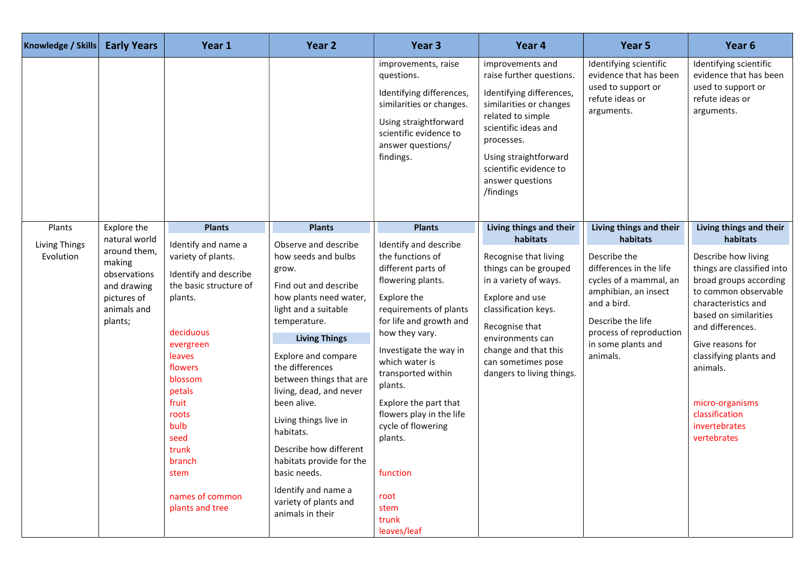| <b>Early Years</b><br>Knowledge / Skills                                                                                                                                      | Year 1                                                                                                                                                                                                                                                                                          | Year 2                                                                                                                                                                                                                                                                                                                                                                                                                                                              | Year 3                                                                                                                                                                                                                                                                                                                                                                                     | Year 4                                                                                                                                                                                                                                                                     | Year 5                                                                                                                                                                                                                            | Year 6                                                                                                                                                                                                                                                                                                                                        |
|-------------------------------------------------------------------------------------------------------------------------------------------------------------------------------|-------------------------------------------------------------------------------------------------------------------------------------------------------------------------------------------------------------------------------------------------------------------------------------------------|---------------------------------------------------------------------------------------------------------------------------------------------------------------------------------------------------------------------------------------------------------------------------------------------------------------------------------------------------------------------------------------------------------------------------------------------------------------------|--------------------------------------------------------------------------------------------------------------------------------------------------------------------------------------------------------------------------------------------------------------------------------------------------------------------------------------------------------------------------------------------|----------------------------------------------------------------------------------------------------------------------------------------------------------------------------------------------------------------------------------------------------------------------------|-----------------------------------------------------------------------------------------------------------------------------------------------------------------------------------------------------------------------------------|-----------------------------------------------------------------------------------------------------------------------------------------------------------------------------------------------------------------------------------------------------------------------------------------------------------------------------------------------|
|                                                                                                                                                                               |                                                                                                                                                                                                                                                                                                 |                                                                                                                                                                                                                                                                                                                                                                                                                                                                     | improvements, raise<br>questions.<br>Identifying differences,<br>similarities or changes.<br>Using straightforward<br>scientific evidence to<br>answer questions/<br>findings.                                                                                                                                                                                                             | improvements and<br>raise further questions.<br>Identifying differences,<br>similarities or changes<br>related to simple<br>scientific ideas and<br>processes.<br>Using straightforward<br>scientific evidence to<br>answer questions<br>/findings                         | Identifying scientific<br>evidence that has been<br>used to support or<br>refute ideas or<br>arguments.                                                                                                                           | Identifying scientific<br>evidence that has been<br>used to support or<br>refute ideas or<br>arguments.                                                                                                                                                                                                                                       |
| Explore the<br>Plants<br>natural world<br><b>Living Things</b><br>around them,<br>Evolution<br>making<br>observations<br>and drawing<br>pictures of<br>animals and<br>plants; | <b>Plants</b><br>Identify and name a<br>variety of plants.<br>Identify and describe<br>the basic structure of<br>plants.<br>deciduous<br>evergreen<br>leaves<br>flowers<br>blossom<br>petals<br>fruit<br>roots<br>bulb<br>seed<br>trunk<br>branch<br>stem<br>names of common<br>plants and tree | <b>Plants</b><br>Observe and describe<br>how seeds and bulbs<br>grow.<br>Find out and describe<br>how plants need water,<br>light and a suitable<br>temperature.<br><b>Living Things</b><br>Explore and compare<br>the differences<br>between things that are<br>living, dead, and never<br>been alive.<br>Living things live in<br>habitats.<br>Describe how different<br>habitats provide for the<br>basic needs.<br>Identify and name a<br>variety of plants and | <b>Plants</b><br>Identify and describe<br>the functions of<br>different parts of<br>flowering plants.<br>Explore the<br>requirements of plants<br>for life and growth and<br>how they vary.<br>Investigate the way in<br>which water is<br>transported within<br>plants.<br>Explore the part that<br>flowers play in the life<br>cycle of flowering<br>plants.<br>function<br>root<br>stem | Living things and their<br>habitats<br>Recognise that living<br>things can be grouped<br>in a variety of ways.<br>Explore and use<br>classification keys.<br>Recognise that<br>environments can<br>change and that this<br>can sometimes pose<br>dangers to living things. | Living things and their<br>habitats<br>Describe the<br>differences in the life<br>cycles of a mammal, an<br>amphibian, an insect<br>and a bird.<br>Describe the life<br>process of reproduction<br>in some plants and<br>animals. | Living things and their<br>habitats<br>Describe how living<br>things are classified into<br>broad groups according<br>to common observable<br>characteristics and<br>based on similarities<br>and differences.<br>Give reasons for<br>classifying plants and<br>animals.<br>micro-organisms<br>classification<br>invertebrates<br>vertebrates |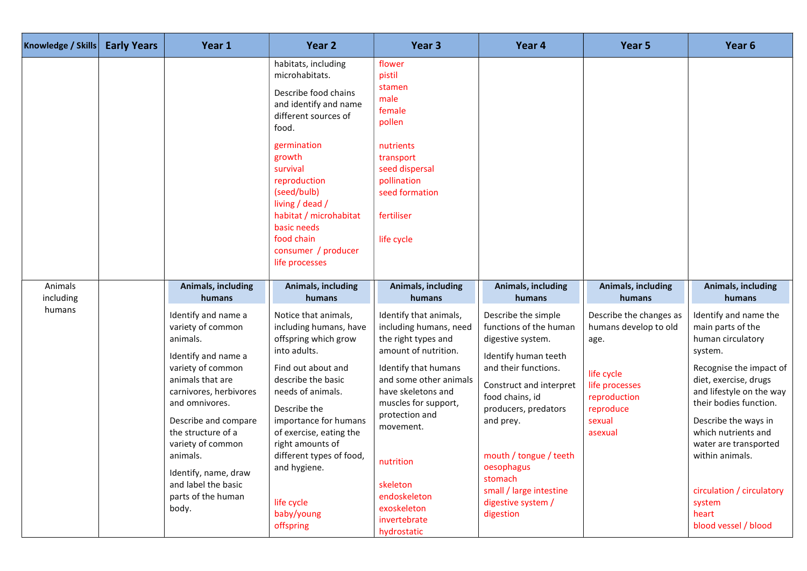| Knowledge / Skills   | <b>Early Years</b> | Year 1                                                                                                                                                                                                                                                                                                                        | Year 2                                                                                                                                                                                                                                                                                                                               | Year <sub>3</sub>                                                                                                                                                                                                                                                                                                     | Year 4                                                                                                                                                                                                                                                                                                                 | Year 5                                                                                                                                     | Year <sub>6</sub>                                                                                                                                                                                                                                                                                                                                       |
|----------------------|--------------------|-------------------------------------------------------------------------------------------------------------------------------------------------------------------------------------------------------------------------------------------------------------------------------------------------------------------------------|--------------------------------------------------------------------------------------------------------------------------------------------------------------------------------------------------------------------------------------------------------------------------------------------------------------------------------------|-----------------------------------------------------------------------------------------------------------------------------------------------------------------------------------------------------------------------------------------------------------------------------------------------------------------------|------------------------------------------------------------------------------------------------------------------------------------------------------------------------------------------------------------------------------------------------------------------------------------------------------------------------|--------------------------------------------------------------------------------------------------------------------------------------------|---------------------------------------------------------------------------------------------------------------------------------------------------------------------------------------------------------------------------------------------------------------------------------------------------------------------------------------------------------|
|                      |                    |                                                                                                                                                                                                                                                                                                                               | habitats, including<br>microhabitats.<br>Describe food chains<br>and identify and name<br>different sources of<br>food.<br>germination<br>growth<br>survival<br>reproduction<br>(seed/bulb)<br>living / dead /<br>habitat / microhabitat<br>basic needs<br>food chain<br>consumer / producer<br>life processes                       | flower<br>pistil<br>stamen<br>male<br>female<br>pollen<br>nutrients<br>transport<br>seed dispersal<br>pollination<br>seed formation<br>fertiliser<br>life cycle                                                                                                                                                       |                                                                                                                                                                                                                                                                                                                        |                                                                                                                                            |                                                                                                                                                                                                                                                                                                                                                         |
| Animals<br>including |                    | Animals, including<br>humans                                                                                                                                                                                                                                                                                                  | Animals, including<br>humans                                                                                                                                                                                                                                                                                                         | Animals, including<br>humans                                                                                                                                                                                                                                                                                          | Animals, including<br>humans                                                                                                                                                                                                                                                                                           | Animals, including<br>humans                                                                                                               | Animals, including<br>humans                                                                                                                                                                                                                                                                                                                            |
| humans               |                    | Identify and name a<br>variety of common<br>animals.<br>Identify and name a<br>variety of common<br>animals that are<br>carnivores, herbivores<br>and omnivores.<br>Describe and compare<br>the structure of a<br>variety of common<br>animals.<br>Identify, name, draw<br>and label the basic<br>parts of the human<br>body. | Notice that animals,<br>including humans, have<br>offspring which grow<br>into adults.<br>Find out about and<br>describe the basic<br>needs of animals.<br>Describe the<br>importance for humans<br>of exercise, eating the<br>right amounts of<br>different types of food,<br>and hygiene.<br>life cycle<br>baby/young<br>offspring | Identify that animals,<br>including humans, need<br>the right types and<br>amount of nutrition.<br>Identify that humans<br>and some other animals<br>have skeletons and<br>muscles for support,<br>protection and<br>movement.<br>nutrition<br>skeleton<br>endoskeleton<br>exoskeleton<br>invertebrate<br>hydrostatic | Describe the simple<br>functions of the human<br>digestive system.<br>Identify human teeth<br>and their functions.<br>Construct and interpret<br>food chains, id<br>producers, predators<br>and prey.<br>mouth / tongue / teeth<br>oesophagus<br>stomach<br>small / large intestine<br>digestive system /<br>digestion | Describe the changes as<br>humans develop to old<br>age.<br>life cycle<br>life processes<br>reproduction<br>reproduce<br>sexual<br>asexual | Identify and name the<br>main parts of the<br>human circulatory<br>system.<br>Recognise the impact of<br>diet, exercise, drugs<br>and lifestyle on the way<br>their bodies function.<br>Describe the ways in<br>which nutrients and<br>water are transported<br>within animals.<br>circulation / circulatory<br>system<br>heart<br>blood vessel / blood |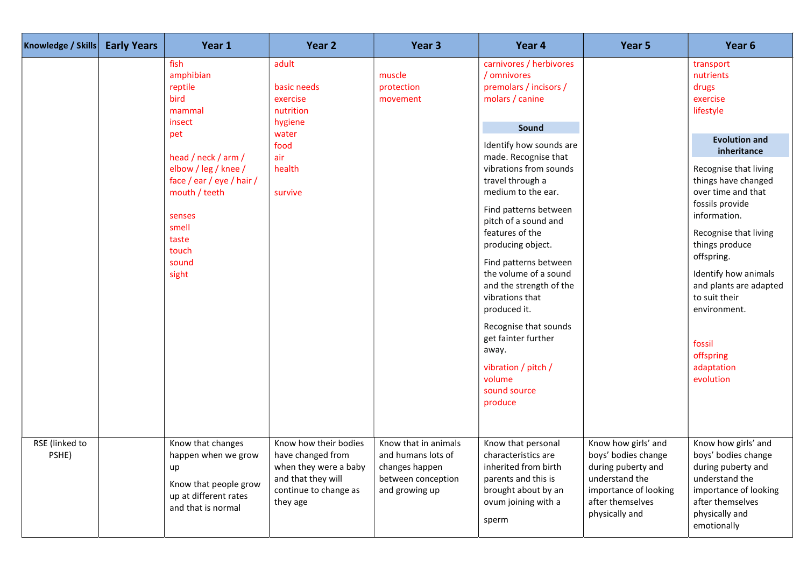| Knowledge / Skills      | <b>Early Years</b> | Year 1                                                                                                                                                                                                              | Year 2                                                                                                                         | Year <sub>3</sub>                                                                                    | Year 4                                                                                                                                                                                                                                                                                                                                                                                                                                                                                                                                            | Year 5                                                                                                                                            | Year <sub>6</sub>                                                                                                                                                                                                                                                                                                                                                                                      |
|-------------------------|--------------------|---------------------------------------------------------------------------------------------------------------------------------------------------------------------------------------------------------------------|--------------------------------------------------------------------------------------------------------------------------------|------------------------------------------------------------------------------------------------------|---------------------------------------------------------------------------------------------------------------------------------------------------------------------------------------------------------------------------------------------------------------------------------------------------------------------------------------------------------------------------------------------------------------------------------------------------------------------------------------------------------------------------------------------------|---------------------------------------------------------------------------------------------------------------------------------------------------|--------------------------------------------------------------------------------------------------------------------------------------------------------------------------------------------------------------------------------------------------------------------------------------------------------------------------------------------------------------------------------------------------------|
|                         |                    | fish<br>amphibian<br>reptile<br>bird<br>mammal<br>insect<br>pet<br>head / neck / arm /<br>elbow / leg / knee /<br>face / ear / eye / hair /<br>mouth / teeth<br>senses<br>smell<br>taste<br>touch<br>sound<br>sight | adult<br>basic needs<br>exercise<br>nutrition<br>hygiene<br>water<br>food<br>air<br>health<br>survive                          | muscle<br>protection<br>movement                                                                     | carnivores / herbivores<br>/ omnivores<br>premolars / incisors /<br>molars / canine<br>Sound<br>Identify how sounds are<br>made. Recognise that<br>vibrations from sounds<br>travel through a<br>medium to the ear.<br>Find patterns between<br>pitch of a sound and<br>features of the<br>producing object.<br>Find patterns between<br>the volume of a sound<br>and the strength of the<br>vibrations that<br>produced it.<br>Recognise that sounds<br>get fainter further<br>away.<br>vibration / pitch /<br>volume<br>sound source<br>produce |                                                                                                                                                   | transport<br>nutrients<br>drugs<br>exercise<br>lifestyle<br><b>Evolution and</b><br>inheritance<br>Recognise that living<br>things have changed<br>over time and that<br>fossils provide<br>information.<br>Recognise that living<br>things produce<br>offspring.<br>Identify how animals<br>and plants are adapted<br>to suit their<br>environment.<br>fossil<br>offspring<br>adaptation<br>evolution |
| RSE (linked to<br>PSHE) |                    | Know that changes<br>happen when we grow<br>up<br>Know that people grow<br>up at different rates<br>and that is normal                                                                                              | Know how their bodies<br>have changed from<br>when they were a baby<br>and that they will<br>continue to change as<br>they age | Know that in animals<br>and humans lots of<br>changes happen<br>between conception<br>and growing up | Know that personal<br>characteristics are<br>inherited from birth<br>parents and this is<br>brought about by an<br>ovum joining with a<br>sperm                                                                                                                                                                                                                                                                                                                                                                                                   | Know how girls' and<br>boys' bodies change<br>during puberty and<br>understand the<br>importance of looking<br>after themselves<br>physically and | Know how girls' and<br>boys' bodies change<br>during puberty and<br>understand the<br>importance of looking<br>after themselves<br>physically and<br>emotionally                                                                                                                                                                                                                                       |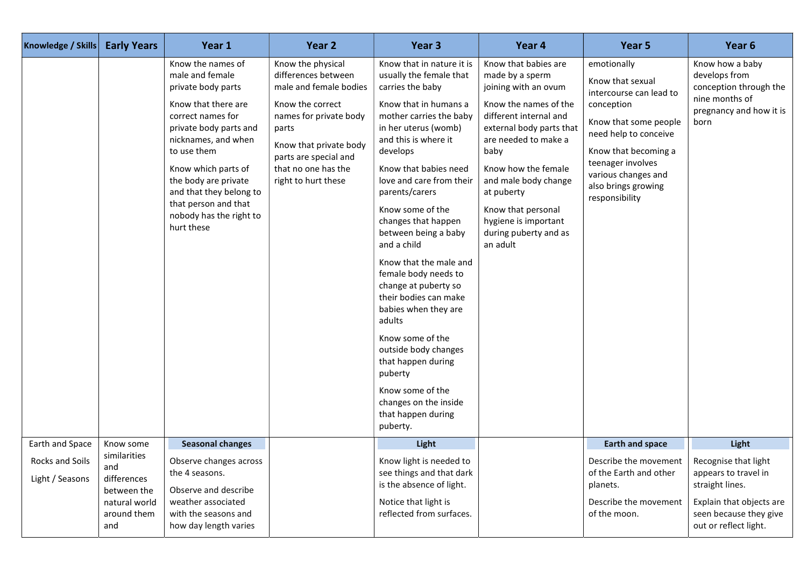| <b>Knowledge / Skills</b>          | <b>Early Years</b>                                                                       | Year 1                                                                                                                                                                                                                                                                                                            | Year <sub>2</sub>                                                                                                                                                                                                          | Year <sub>3</sub>                                                                                                                                                                                                                                                                                                                                                                                                                                                                                                                                                                                                                                  | Year 4                                                                                                                                                                                                                                                                                                                         | Year 5                                                                                                                                                                                                                                  | Year 6                                                                                                                 |
|------------------------------------|------------------------------------------------------------------------------------------|-------------------------------------------------------------------------------------------------------------------------------------------------------------------------------------------------------------------------------------------------------------------------------------------------------------------|----------------------------------------------------------------------------------------------------------------------------------------------------------------------------------------------------------------------------|----------------------------------------------------------------------------------------------------------------------------------------------------------------------------------------------------------------------------------------------------------------------------------------------------------------------------------------------------------------------------------------------------------------------------------------------------------------------------------------------------------------------------------------------------------------------------------------------------------------------------------------------------|--------------------------------------------------------------------------------------------------------------------------------------------------------------------------------------------------------------------------------------------------------------------------------------------------------------------------------|-----------------------------------------------------------------------------------------------------------------------------------------------------------------------------------------------------------------------------------------|------------------------------------------------------------------------------------------------------------------------|
|                                    |                                                                                          | Know the names of<br>male and female<br>private body parts<br>Know that there are<br>correct names for<br>private body parts and<br>nicknames, and when<br>to use them<br>Know which parts of<br>the body are private<br>and that they belong to<br>that person and that<br>nobody has the right to<br>hurt these | Know the physical<br>differences between<br>male and female bodies<br>Know the correct<br>names for private body<br>parts<br>Know that private body<br>parts are special and<br>that no one has the<br>right to hurt these | Know that in nature it is<br>usually the female that<br>carries the baby<br>Know that in humans a<br>mother carries the baby<br>in her uterus (womb)<br>and this is where it<br>develops<br>Know that babies need<br>love and care from their<br>parents/carers<br>Know some of the<br>changes that happen<br>between being a baby<br>and a child<br>Know that the male and<br>female body needs to<br>change at puberty so<br>their bodies can make<br>babies when they are<br>adults<br>Know some of the<br>outside body changes<br>that happen during<br>puberty<br>Know some of the<br>changes on the inside<br>that happen during<br>puberty. | Know that babies are<br>made by a sperm<br>joining with an ovum<br>Know the names of the<br>different internal and<br>external body parts that<br>are needed to make a<br>baby<br>Know how the female<br>and male body change<br>at puberty<br>Know that personal<br>hygiene is important<br>during puberty and as<br>an adult | emotionally<br>Know that sexual<br>intercourse can lead to<br>conception<br>Know that some people<br>need help to conceive<br>Know that becoming a<br>teenager involves<br>various changes and<br>also brings growing<br>responsibility | Know how a baby<br>develops from<br>conception through the<br>nine months of<br>pregnancy and how it is<br>born        |
| Earth and Space                    | Know some                                                                                | <b>Seasonal changes</b>                                                                                                                                                                                                                                                                                           |                                                                                                                                                                                                                            | Light                                                                                                                                                                                                                                                                                                                                                                                                                                                                                                                                                                                                                                              |                                                                                                                                                                                                                                                                                                                                | <b>Earth and space</b>                                                                                                                                                                                                                  | Light                                                                                                                  |
| Rocks and Soils<br>Light / Seasons | similarities<br>and<br>differences<br>between the<br>natural world<br>around them<br>and | Observe changes across<br>the 4 seasons.<br>Observe and describe<br>weather associated<br>with the seasons and<br>how day length varies                                                                                                                                                                           |                                                                                                                                                                                                                            | Know light is needed to<br>see things and that dark<br>is the absence of light.<br>Notice that light is<br>reflected from surfaces.                                                                                                                                                                                                                                                                                                                                                                                                                                                                                                                |                                                                                                                                                                                                                                                                                                                                | Describe the movement   Recognise that light<br>of the Earth and other<br>planets.<br>Describe the movement<br>of the moon.                                                                                                             | appears to travel in<br>straight lines.<br>Explain that objects are<br>seen because they give<br>out or reflect light. |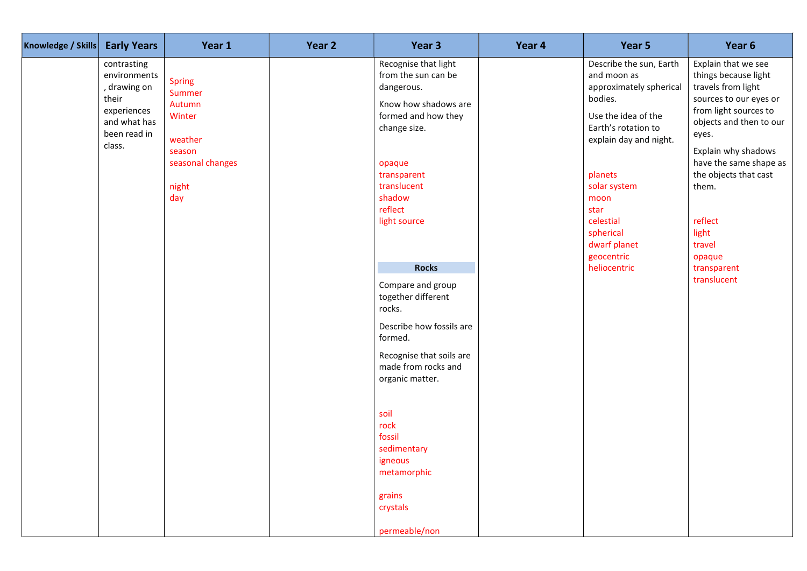| Knowledge / Skills | <b>Early Years</b>                                                                                            | Year 1                                                                                               | Year 2 | Year 3                                                                                                                                                                                                                                                                                                                                                                                                                                                     | Year 4 | Year 5                                                                                                                                                                                                                                                                  | Year 6                                                                                                                                                                                                                                                                                                            |
|--------------------|---------------------------------------------------------------------------------------------------------------|------------------------------------------------------------------------------------------------------|--------|------------------------------------------------------------------------------------------------------------------------------------------------------------------------------------------------------------------------------------------------------------------------------------------------------------------------------------------------------------------------------------------------------------------------------------------------------------|--------|-------------------------------------------------------------------------------------------------------------------------------------------------------------------------------------------------------------------------------------------------------------------------|-------------------------------------------------------------------------------------------------------------------------------------------------------------------------------------------------------------------------------------------------------------------------------------------------------------------|
|                    | contrasting<br>environments<br>, drawing on<br>their<br>experiences<br>and what has<br>been read in<br>class. | <b>Spring</b><br>Summer<br>Autumn<br>Winter<br>weather<br>season<br>seasonal changes<br>night<br>day |        | Recognise that light<br>from the sun can be<br>dangerous.<br>Know how shadows are<br>formed and how they<br>change size.<br>opaque<br>transparent<br>translucent<br>shadow<br>reflect<br>light source<br><b>Rocks</b><br>Compare and group<br>together different<br>rocks.<br>Describe how fossils are<br>formed.<br>Recognise that soils are<br>made from rocks and<br>organic matter.<br>soil<br>rock<br>fossil<br>sedimentary<br>igneous<br>metamorphic |        | Describe the sun, Earth<br>and moon as<br>approximately spherical<br>bodies.<br>Use the idea of the<br>Earth's rotation to<br>explain day and night.<br>planets<br>solar system<br>moon<br>star<br>celestial<br>spherical<br>dwarf planet<br>geocentric<br>heliocentric | Explain that we see<br>things because light<br>travels from light<br>sources to our eyes or<br>from light sources to<br>objects and then to our<br>eyes.<br>Explain why shadows<br>have the same shape as<br>the objects that cast<br>them.<br>reflect<br>light<br>travel<br>opaque<br>transparent<br>translucent |
|                    |                                                                                                               |                                                                                                      |        | grains<br>crystals<br>permeable/non                                                                                                                                                                                                                                                                                                                                                                                                                        |        |                                                                                                                                                                                                                                                                         |                                                                                                                                                                                                                                                                                                                   |
|                    |                                                                                                               |                                                                                                      |        |                                                                                                                                                                                                                                                                                                                                                                                                                                                            |        |                                                                                                                                                                                                                                                                         |                                                                                                                                                                                                                                                                                                                   |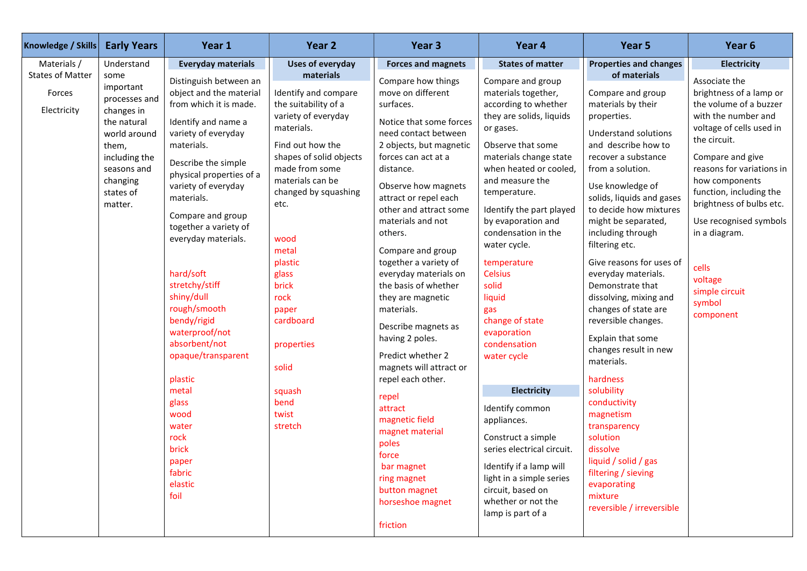| Knowledge / Skills                                                | <b>Early Years</b>                                                                                                                          | Year 1                                                                                                                                                                                                                                                                                                                                                                                                                                                                                                                                         | Year 2                                                                                                                                                                                                                                                                                                                                                       | Year 3                                                                                                                                                                                                                                                                                                                                                                                                                                                                                                                                                                                                                                                                                     | Year 4                                                                                                                                                                                                                                                                                                                                                                                                                                                                                                                                                                                                                                                                        | Year 5                                                                                                                                                                                                                                                                                                                                                                                                                                                                                                                                                                                                                                                                                                                            | Year 6                                                                                                                                                                                                                                                                                                                                                                  |
|-------------------------------------------------------------------|---------------------------------------------------------------------------------------------------------------------------------------------|------------------------------------------------------------------------------------------------------------------------------------------------------------------------------------------------------------------------------------------------------------------------------------------------------------------------------------------------------------------------------------------------------------------------------------------------------------------------------------------------------------------------------------------------|--------------------------------------------------------------------------------------------------------------------------------------------------------------------------------------------------------------------------------------------------------------------------------------------------------------------------------------------------------------|--------------------------------------------------------------------------------------------------------------------------------------------------------------------------------------------------------------------------------------------------------------------------------------------------------------------------------------------------------------------------------------------------------------------------------------------------------------------------------------------------------------------------------------------------------------------------------------------------------------------------------------------------------------------------------------------|-------------------------------------------------------------------------------------------------------------------------------------------------------------------------------------------------------------------------------------------------------------------------------------------------------------------------------------------------------------------------------------------------------------------------------------------------------------------------------------------------------------------------------------------------------------------------------------------------------------------------------------------------------------------------------|-----------------------------------------------------------------------------------------------------------------------------------------------------------------------------------------------------------------------------------------------------------------------------------------------------------------------------------------------------------------------------------------------------------------------------------------------------------------------------------------------------------------------------------------------------------------------------------------------------------------------------------------------------------------------------------------------------------------------------------|-------------------------------------------------------------------------------------------------------------------------------------------------------------------------------------------------------------------------------------------------------------------------------------------------------------------------------------------------------------------------|
| Materials /                                                       | Understand                                                                                                                                  | <b>Everyday materials</b>                                                                                                                                                                                                                                                                                                                                                                                                                                                                                                                      | <b>Uses of everyday</b>                                                                                                                                                                                                                                                                                                                                      | <b>Forces and magnets</b>                                                                                                                                                                                                                                                                                                                                                                                                                                                                                                                                                                                                                                                                  | <b>States of matter</b>                                                                                                                                                                                                                                                                                                                                                                                                                                                                                                                                                                                                                                                       | <b>Properties and changes</b>                                                                                                                                                                                                                                                                                                                                                                                                                                                                                                                                                                                                                                                                                                     | <b>Electricity</b>                                                                                                                                                                                                                                                                                                                                                      |
| <b>States of Matter</b><br>some<br>Forces<br>Electricity<br>them, | important<br>processes and<br>changes in<br>the natural<br>world around<br>including the<br>seasons and<br>changing<br>states of<br>matter. | Distinguish between an<br>object and the material<br>from which it is made.<br>Identify and name a<br>variety of everyday<br>materials.<br>Describe the simple<br>physical properties of a<br>variety of everyday<br>materials.<br>Compare and group<br>together a variety of<br>everyday materials.<br>hard/soft<br>stretchy/stiff<br>shiny/dull<br>rough/smooth<br>bendy/rigid<br>waterproof/not<br>absorbent/not<br>opaque/transparent<br>plastic<br>metal<br>glass<br>wood<br>water<br>rock<br>brick<br>paper<br>fabric<br>elastic<br>foil | materials<br>Identify and compare<br>the suitability of a<br>variety of everyday<br>materials.<br>Find out how the<br>shapes of solid objects<br>made from some<br>materials can be<br>changed by squashing<br>etc.<br>wood<br>metal<br>plastic<br>glass<br>brick<br>rock<br>paper<br>cardboard<br>properties<br>solid<br>squash<br>bend<br>twist<br>stretch | Compare how things<br>move on different<br>surfaces.<br>Notice that some forces<br>need contact between<br>2 objects, but magnetic<br>forces can act at a<br>distance.<br>Observe how magnets<br>attract or repel each<br>other and attract some<br>materials and not<br>others.<br>Compare and group<br>together a variety of<br>everyday materials on<br>the basis of whether<br>they are magnetic<br>materials.<br>Describe magnets as<br>having 2 poles.<br>Predict whether 2<br>magnets will attract or<br>repel each other.<br>repel<br>attract<br>magnetic field<br>magnet material<br>poles<br>force<br>bar magnet<br>ring magnet<br>button magnet<br>horseshoe magnet<br>friction | Compare and group<br>materials together,<br>according to whether<br>they are solids, liquids<br>or gases.<br>Observe that some<br>materials change state<br>when heated or cooled,<br>and measure the<br>temperature.<br>Identify the part played<br>by evaporation and<br>condensation in the<br>water cycle.<br>temperature<br><b>Celsius</b><br>solid<br>liquid<br>gas<br>change of state<br>evaporation<br>condensation<br>water cycle<br><b>Electricity</b><br>Identify common<br>appliances.<br>Construct a simple<br>series electrical circuit.<br>Identify if a lamp will<br>light in a simple series<br>circuit, based on<br>whether or not the<br>lamp is part of a | of materials<br>Compare and group<br>materials by their<br>properties.<br><b>Understand solutions</b><br>and describe how to<br>recover a substance<br>from a solution.<br>Use knowledge of<br>solids, liquids and gases<br>to decide how mixtures<br>might be separated,<br>including through<br>filtering etc.<br>Give reasons for uses of<br>everyday materials.<br>Demonstrate that<br>dissolving, mixing and<br>changes of state are<br>reversible changes.<br>Explain that some<br>changes result in new<br>materials.<br>hardness<br>solubility<br>conductivity<br>magnetism<br>transparency<br>solution<br>dissolve<br>liquid / solid / gas<br>filtering / sieving<br>evaporating<br>mixture<br>reversible / irreversible | Associate the<br>brightness of a lamp or<br>the volume of a buzzer<br>with the number and<br>voltage of cells used in<br>the circuit.<br>Compare and give<br>reasons for variations in<br>how components<br>function, including the<br>brightness of bulbs etc.<br>Use recognised symbols<br>in a diagram.<br>cells<br>voltage<br>simple circuit<br>symbol<br>component |